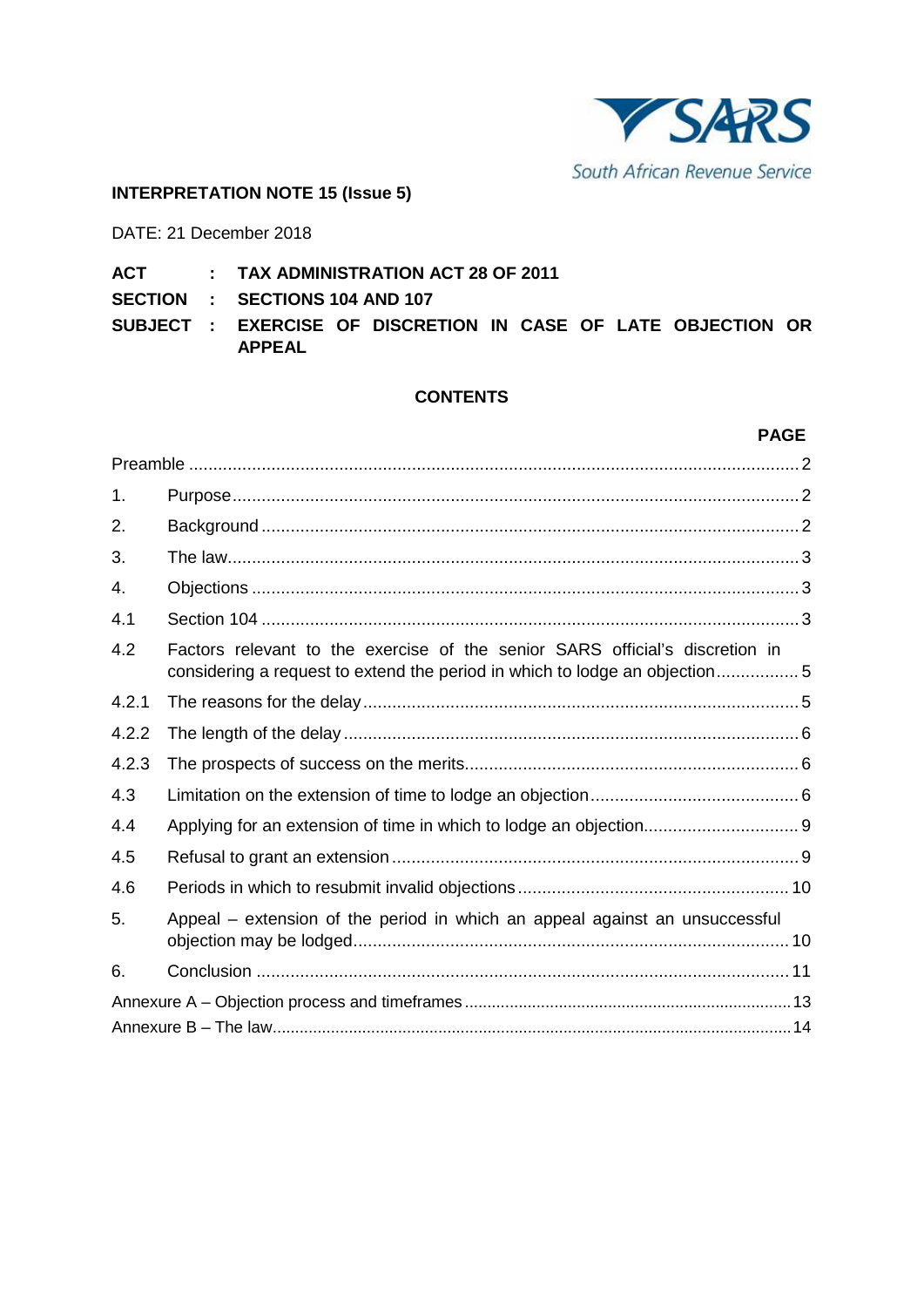

#### **INTERPRETATION NOTE 15 (Issue 5)**

DATE: 21 December 2018

# **ACT : TAX ADMINISTRATION ACT 28 OF 2011**

**SECTION : SECTIONS 104 AND 107** 

**SUBJECT : EXERCISE OF DISCRETION IN CASE OF LATE OBJECTION OR APPEAL**

#### **CONTENTS**

#### **PAGE**

| 1.    |                                                                                                                                                            |  |  |
|-------|------------------------------------------------------------------------------------------------------------------------------------------------------------|--|--|
| 2.    |                                                                                                                                                            |  |  |
| 3.    |                                                                                                                                                            |  |  |
| 4.    |                                                                                                                                                            |  |  |
| 4.1   |                                                                                                                                                            |  |  |
| 4.2   | Factors relevant to the exercise of the senior SARS official's discretion in<br>considering a request to extend the period in which to lodge an objection5 |  |  |
| 4.2.1 |                                                                                                                                                            |  |  |
| 4.2.2 |                                                                                                                                                            |  |  |
| 4.2.3 |                                                                                                                                                            |  |  |
| 4.3   |                                                                                                                                                            |  |  |
| 4.4   |                                                                                                                                                            |  |  |
| 4.5   |                                                                                                                                                            |  |  |
| 4.6   |                                                                                                                                                            |  |  |
| 5.    | Appeal - extension of the period in which an appeal against an unsuccessful                                                                                |  |  |
| 6.    |                                                                                                                                                            |  |  |
|       |                                                                                                                                                            |  |  |
|       |                                                                                                                                                            |  |  |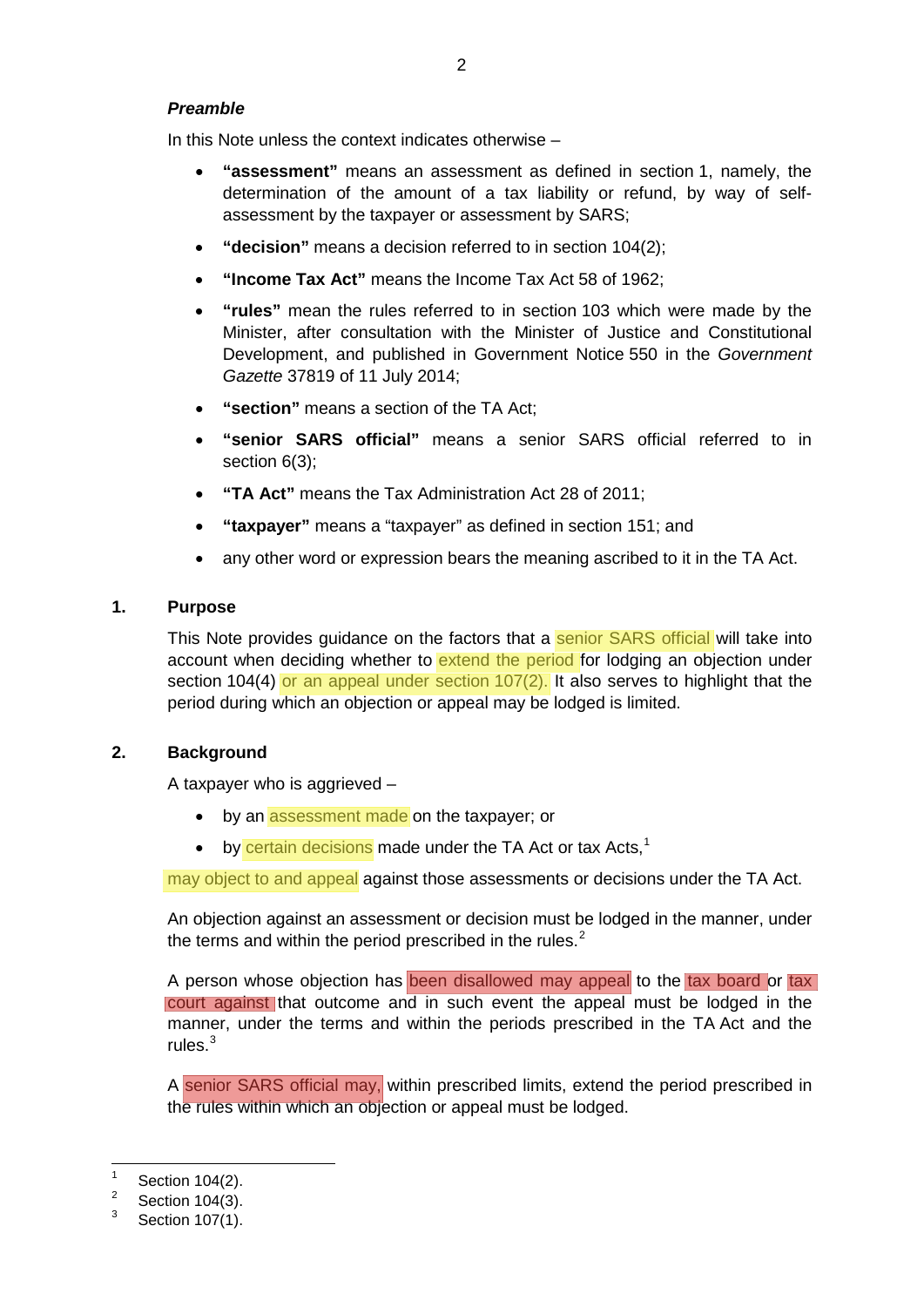# <span id="page-1-0"></span>*Preamble*

In this Note unless the context indicates otherwise –

- **"assessment"** means an assessment as defined in section 1, namely, the determination of the amount of a tax liability or refund, by way of selfassessment by the taxpayer or assessment by SARS;
- **"decision"** means a decision referred to in section 104(2);
- **"Income Tax Act"** means the Income Tax Act 58 of 1962;
- **"rules"** mean the rules referred to in section 103 which were made by the Minister, after consultation with the Minister of Justice and Constitutional Development, and published in Government Notice 550 in the *Government Gazette* 37819 of 11 July 2014;
- **"section"** means a section of the TA Act;
- **"senior SARS official"** means a senior SARS official referred to in section 6(3);
- **"TA Act"** means the Tax Administration Act 28 of 2011;
- **"taxpayer"** means a "taxpayer" as defined in section 151; and
- any other word or expression bears the meaning ascribed to it in the TA Act.

# <span id="page-1-1"></span>**1. Purpose**

This Note provides guidance on the factors that a senior SARS official will take into account when deciding whether to extend the period for lodging an objection under section 104(4) or an appeal under section  $107(2)$ . It also serves to highlight that the period during which an objection or appeal may be lodged is limited.

## <span id="page-1-2"></span>**2. Background**

A taxpayer who is aggrieved –

- by an assessment made on the taxpayer; or
- by certain decisions made under the TA Act or tax Acts, $<sup>1</sup>$  $<sup>1</sup>$  $<sup>1</sup>$ </sup>

may object to and appeal against those assessments or decisions under the TA Act.

An objection against an assessment or decision must be lodged in the manner, under the terms and within the period prescribed in the rules.<sup>[2](#page-1-4)</sup>

A person whose objection has been disallowed may appeal to the tax board or tax court against that outcome and in such event the appeal must be lodged in the manner, under the terms and within the periods prescribed in the TA Act and the rules.[3](#page-1-5)

A senior SARS official may, within prescribed limits, extend the period prescribed in the rules within which an objection or appeal must be lodged.

<span id="page-1-3"></span> $\frac{1}{2}$  Section 104(2).

<span id="page-1-4"></span> $\frac{2}{3}$  Section 104(3).

<span id="page-1-5"></span>Section 107(1).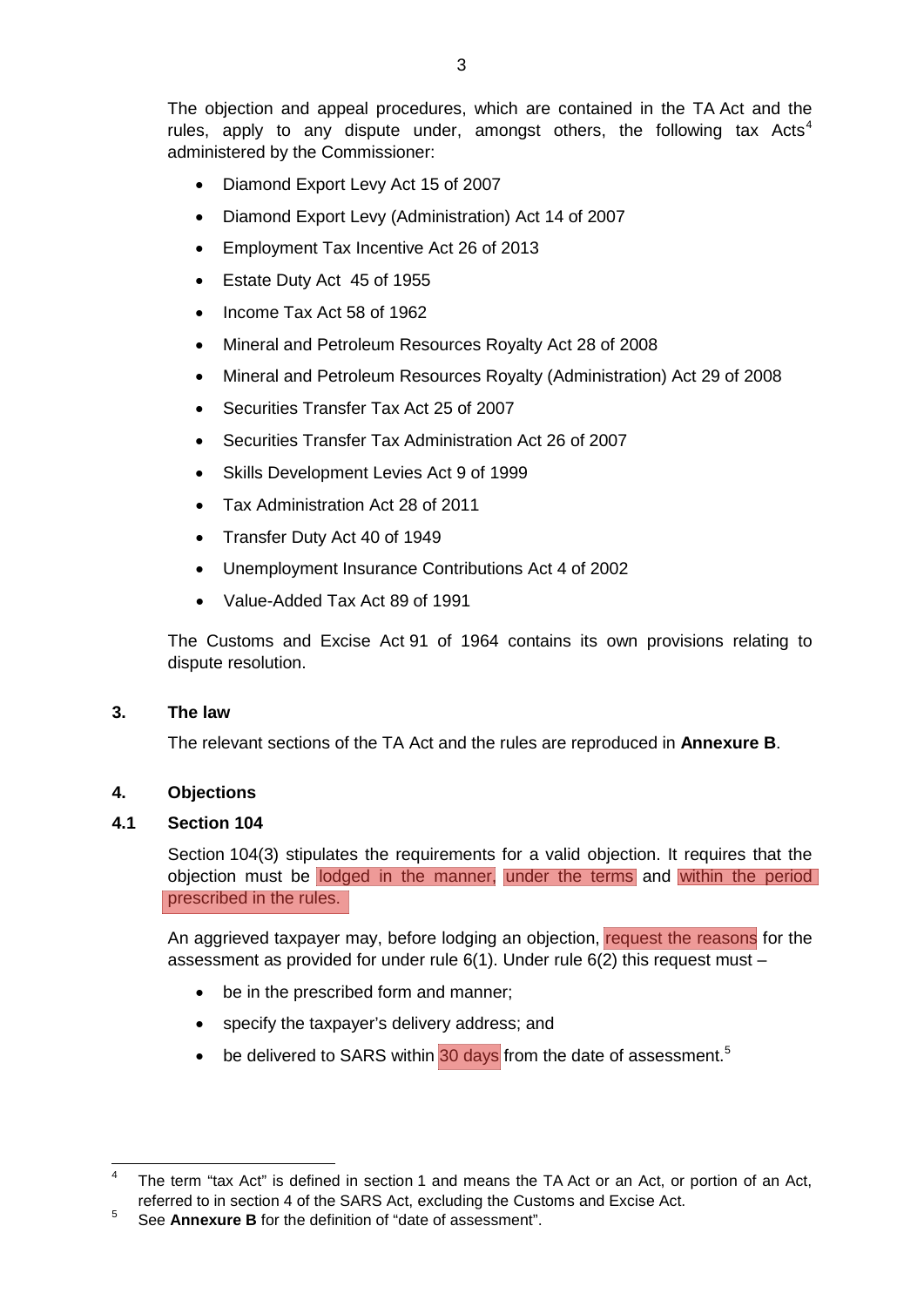The objection and appeal procedures, which are contained in the TA Act and the rules, apply to any dispute under, amongst others, the following tax Acts<sup>[4](#page-2-3)</sup> administered by the Commissioner:

- Diamond Export Levy Act 15 of 2007
- Diamond Export Levy (Administration) Act 14 of 2007
- Employment Tax Incentive Act 26 of 2013
- Estate Duty Act 45 of 1955
- Income Tax Act 58 of 1962
- Mineral and Petroleum Resources Royalty Act 28 of 2008
- Mineral and Petroleum Resources Royalty (Administration) Act 29 of 2008
- Securities Transfer Tax Act 25 of 2007
- Securities Transfer Tax Administration Act 26 of 2007
- Skills Development Levies Act 9 of 1999
- Tax Administration Act 28 of 2011
- Transfer Duty Act 40 of 1949
- Unemployment Insurance Contributions Act 4 of 2002
- Value-Added Tax Act 89 of 1991

The Customs and Excise Act 91 of 1964 contains its own provisions relating to dispute resolution.

## <span id="page-2-0"></span>**3. The law**

The relevant sections of the TA Act and the rules are reproduced in **[Annexure](#page-13-0) B**.

# <span id="page-2-1"></span>**4. Objections**

## <span id="page-2-2"></span>**4.1 Section 104**

Section 104(3) stipulates the requirements for a valid objection. It requires that the objection must be lodged in the manner, under the terms and within the period prescribed in the rules.

An aggrieved taxpayer may, before lodging an objection, request the reasons for the assessment as provided for under rule  $6(1)$ . Under rule  $6(2)$  this request must –

- be in the prescribed form and manner;
- specify the taxpayer's delivery address; and
- be delivered to SARS within  $30$  days from the date of assessment.<sup>[5](#page-2-4)</sup>

<span id="page-2-3"></span>The term "tax Act" is defined in section 1 and means the TA Act or an Act, or portion of an Act, referred to in section 4 of the SARS Act, excluding the Customs and Excise Act.

<span id="page-2-4"></span><sup>5</sup> See **[Annexure](#page-13-0) B** for the definition of "date of assessment".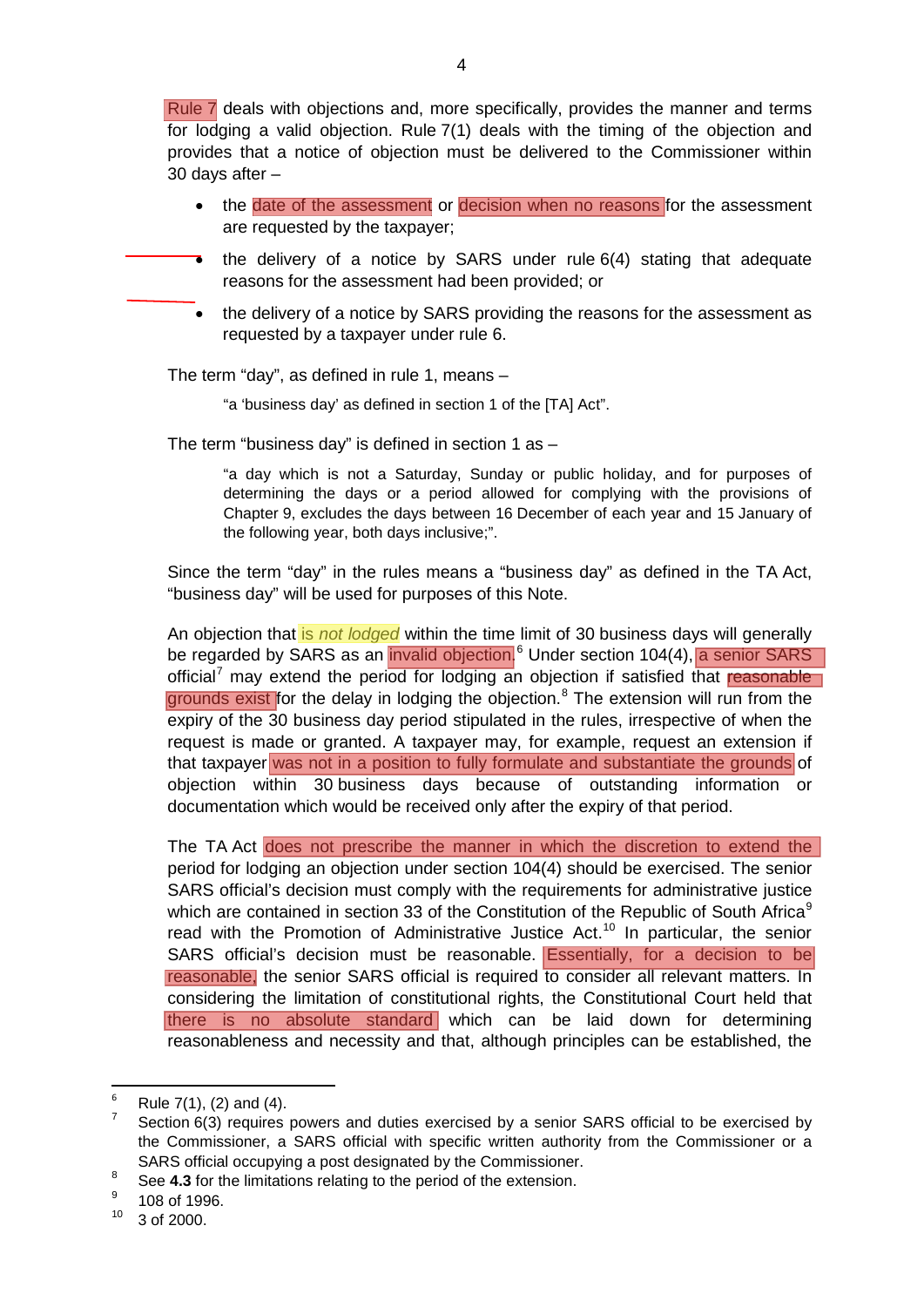Rule 7 deals with objections and, more specifically, provides the manner and terms for lodging a valid objection. Rule 7(1) deals with the timing of the objection and provides that a notice of objection must be delivered to the Commissioner within 30 days after –

- the date of the assessment or decision when no reasons for the assessment are requested by the taxpayer;
- the delivery of a notice by SARS under rule  $6(4)$  stating that adequate reasons for the assessment had been provided; or
- the delivery of a notice by SARS providing the reasons for the assessment as requested by a taxpayer under rule 6.

The term "day", as defined in rule 1, means –

"a 'business day' as defined in section 1 of the [TA] Act".

The term "business day" is defined in section 1 as  $-$ 

"a day which is not a Saturday, Sunday or public holiday, and for purposes of determining the days or a period allowed for complying with the provisions of Chapter 9, excludes the days between 16 December of each year and 15 January of the following year, both days inclusive;".

Since the term "day" in the rules means a "business day" as defined in the TA Act, "business day" will be used for purposes of this Note.

An objection that is *not lodged* within the time limit of 30 business days will generally be regarded by SARS as an *invalid objection*.<sup>[6](#page-3-0)</sup> Under section 104(4), a senior SARS official<sup>[7](#page-3-1)</sup> may extend the period for lodging an objection if satisfied that reasonable grounds exist for the delay in lodging the objection. $8$  The extension will run from the expiry of the 30 business day period stipulated in the rules, irrespective of when the request is made or granted. A taxpayer may, for example, request an extension if that taxpayer was not in a position to fully formulate and substantiate the grounds of objection within 30 business days because of outstanding information or documentation which would be received only after the expiry of that period.

The TA Act does not prescribe the manner in which the discretion to extend the period for lodging an objection under section 104(4) should be exercised. The senior SARS official's decision must comply with the requirements for administrative justice which are contained in section 33 of the Constitution of the Republic of South Africa<sup>[9](#page-3-3)</sup> read with the Promotion of Administrative Justice Act. [10](#page-3-4) In particular, the senior SARS official's decision must be reasonable. Essentially, for a decision to be reasonable, the senior SARS official is required to consider all relevant matters. In considering the limitation of constitutional rights, the Constitutional Court held that there is no absolute standard which can be laid down for determining reasonableness and necessity and that, although principles can be established, the

<span id="page-3-1"></span><span id="page-3-0"></span><sup>&</sup>lt;sup>6</sup> Rule 7(1), (2) and (4).<br><sup>7</sup> Section 6(3) requires powers and duties exercised by a senior SARS official to be exercised by the Commissioner, a SARS official with specific written authority from the Commissioner or a SARS official occupying a post designated by the Commissioner.

<span id="page-3-2"></span><sup>&</sup>lt;sup>8</sup> See **4.3** for the limitations relating to the period of the extension.

<span id="page-3-3"></span><sup>108</sup> of 1996.

<span id="page-3-4"></span><sup>10</sup> 3 of 2000.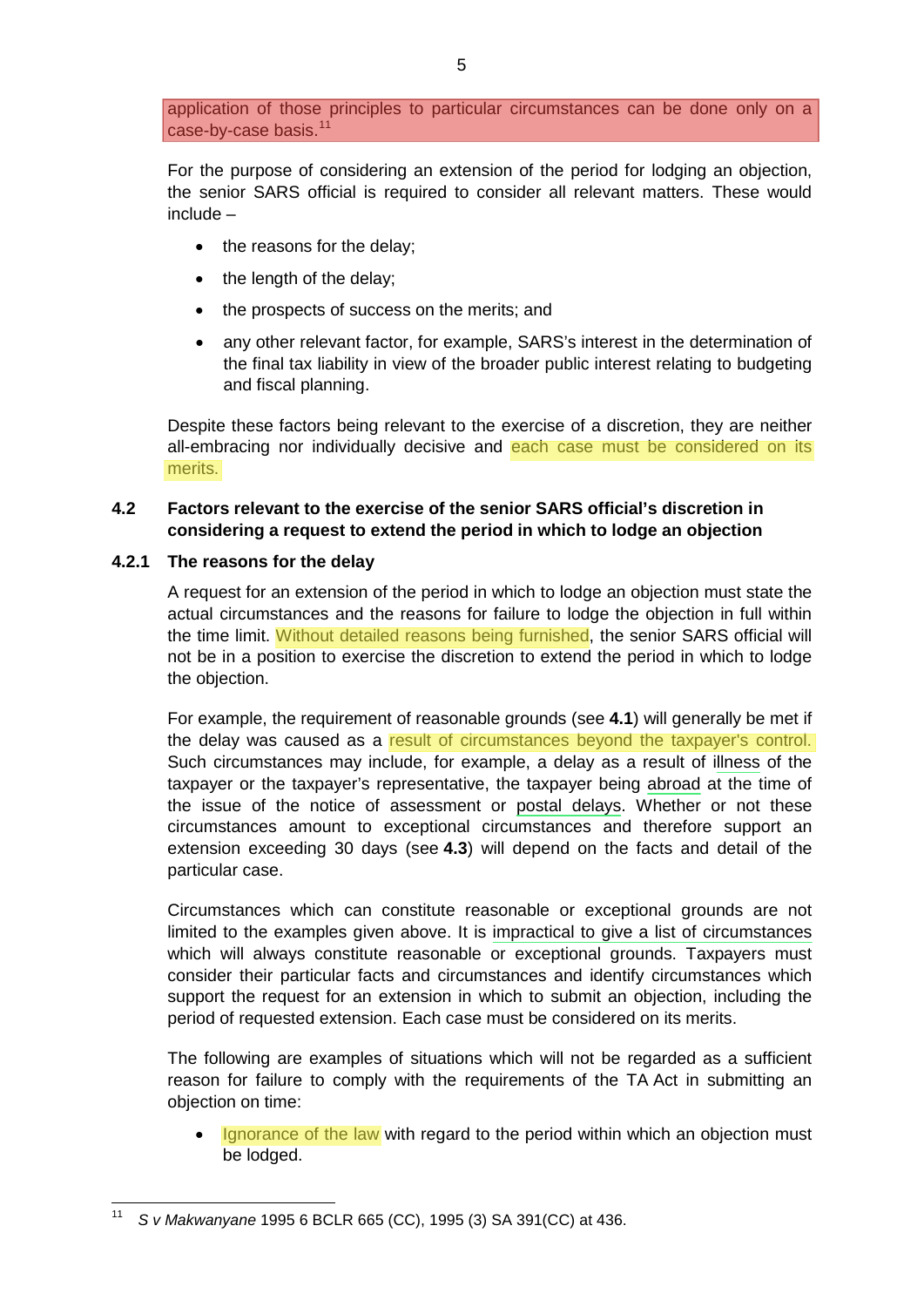application of those principles to particular circumstances can be done only on a case-by-case basis.<sup>[11](#page-4-2)</sup>

For the purpose of considering an extension of the period for lodging an objection, the senior SARS official is required to consider all relevant matters. These would include –

- the reasons for the delay;
- the length of the delay;
- the prospects of success on the merits; and
- any other relevant factor, for example, SARS's interest in the determination of the final tax liability in view of the broader public interest relating to budgeting and fiscal planning.

Despite these factors being relevant to the exercise of a discretion, they are neither all-embracing nor individually decisive and each case must be considered on its merits.

# <span id="page-4-0"></span>**4.2 Factors relevant to the exercise of the senior SARS official's discretion in considering a request to extend the period in which to lodge an objection**

#### <span id="page-4-1"></span>**4.2.1 The reasons for the delay**

A request for an extension of the period in which to lodge an objection must state the actual circumstances and the reasons for failure to lodge the objection in full within the time limit. Without detailed reasons being furnished, the senior SARS official will not be in a position to exercise the discretion to extend the period in which to lodge the objection.

For example, the requirement of reasonable grounds (see **[4.1](#page-2-2)**) will generally be met if the delay was caused as a result of circumstances beyond the taxpayer's control. Such circumstances may include, for example, a delay as a result of illness of the taxpayer or the taxpayer's representative, the taxpayer being abroad at the time of the issue of the notice of assessment or postal delays. Whether or not these circumstances amount to exceptional circumstances and therefore support an extension exceeding 30 days (see **[4.3](#page-5-2)**) will depend on the facts and detail of the particular case.

Circumstances which can constitute reasonable or exceptional grounds are not limited to the examples given above. It is impractical to give a list of circumstances which will always constitute reasonable or exceptional grounds. Taxpayers must consider their particular facts and circumstances and identify circumstances which support the request for an extension in which to submit an objection, including the period of requested extension. Each case must be considered on its merits.

The following are examples of situations which will not be regarded as a sufficient reason for failure to comply with the requirements of the TA Act in submitting an objection on time:

• Ignorance of the law with regard to the period within which an objection must be lodged.

<span id="page-4-2"></span><sup>11</sup> *<sup>S</sup> v Makwanyane* 1995 6 BCLR 665 (CC), 1995 (3) SA 391(CC) at 436.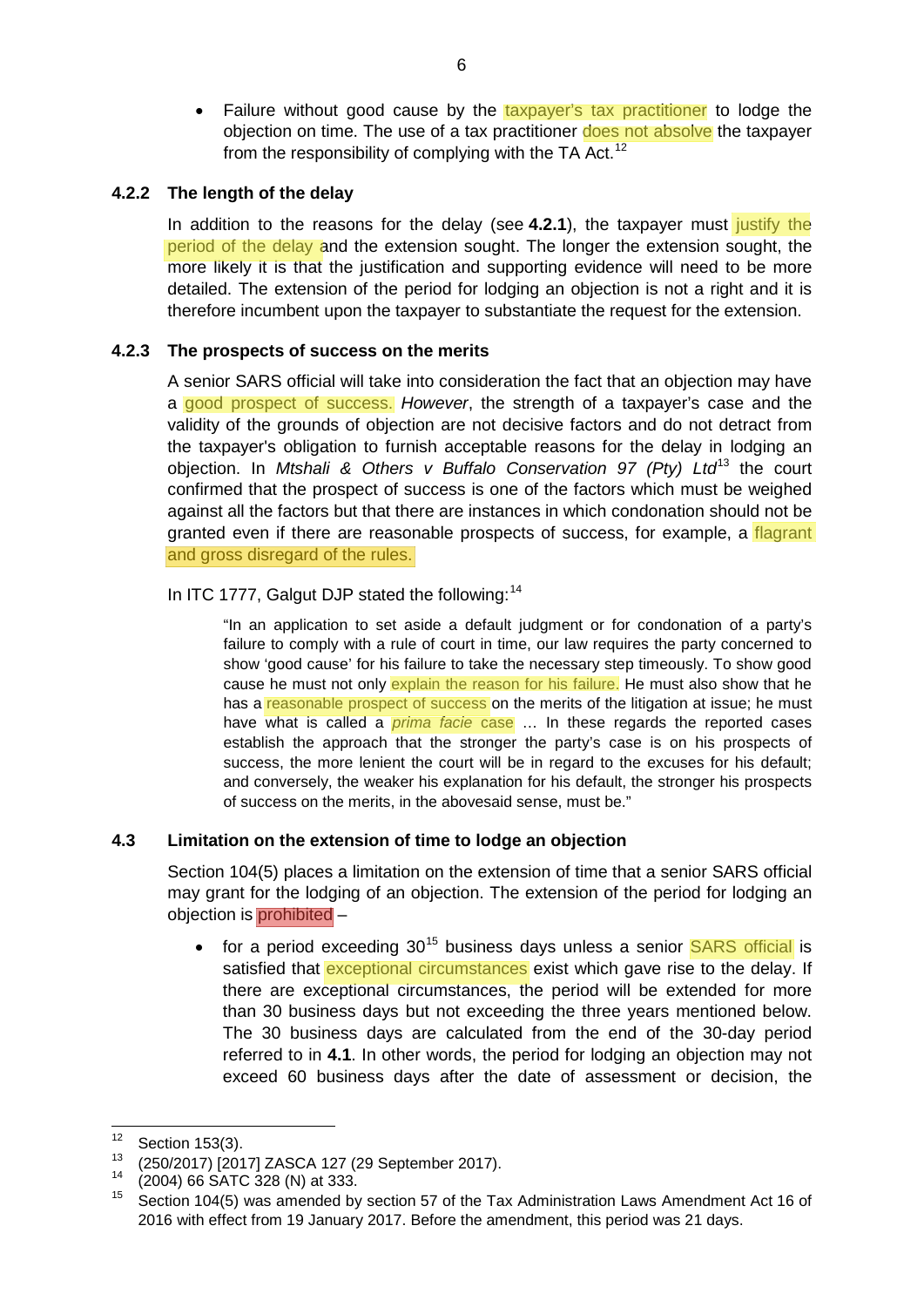• Failure without good cause by the taxpayer's tax practitioner to lodge the objection on time. The use of a tax practitioner does not absolve the taxpayer from the responsibility of complying with the TA Act.<sup>[12](#page-5-3)</sup>

## <span id="page-5-0"></span>**4.2.2 The length of the delay**

In addition to the reasons for the delay (see **[4.2.1](#page-4-1)**), the taxpayer must justify the period of the delay and the extension sought. The longer the extension sought, the more likely it is that the justification and supporting evidence will need to be more detailed. The extension of the period for lodging an objection is not a right and it is therefore incumbent upon the taxpayer to substantiate the request for the extension.

## <span id="page-5-1"></span>**4.2.3 The prospects of success on the merits**

A senior SARS official will take into consideration the fact that an objection may have a good prospect of success. *However*, the strength of a taxpayer's case and the validity of the grounds of objection are not decisive factors and do not detract from the taxpayer's obligation to furnish acceptable reasons for the delay in lodging an objection. In *Mtshali & Others v Buffalo Conservation 97 (Pty) Ltd*[13](#page-5-4) the court confirmed that the prospect of success is one of the factors which must be weighed against all the factors but that there are instances in which condonation should not be granted even if there are reasonable prospects of success, for example, a flagrant and gross disregard of the rules.

## In ITC 1777, Galgut DJP stated the following:<sup>[14](#page-5-5)</sup>

"In an application to set aside a default judgment or for condonation of a party's failure to comply with a rule of court in time, our law requires the party concerned to show 'good cause' for his failure to take the necessary step timeously. To show good cause he must not only explain the reason for his failure. He must also show that he has a reasonable prospect of success on the merits of the litigation at issue; he must have what is called a *prima facie* case … In these regards the reported cases establish the approach that the stronger the party's case is on his prospects of success, the more lenient the court will be in regard to the excuses for his default; and conversely, the weaker his explanation for his default, the stronger his prospects of success on the merits, in the abovesaid sense, must be."

## <span id="page-5-2"></span>**4.3 Limitation on the extension of time to lodge an objection**

Section 104(5) places a limitation on the extension of time that a senior SARS official may grant for the lodging of an objection. The extension of the period for lodging an objection is prohibited –

• for a period exceeding  $30^{15}$  $30^{15}$  $30^{15}$  business days unless a senior SARS official is satisfied that exceptional circumstances exist which gave rise to the delay. If there are exceptional circumstances, the period will be extended for more than 30 business days but not exceeding the three years mentioned below. The 30 business days are calculated from the end of the 30-day period referred to in **[4.1](#page-2-2)**. In other words, the period for lodging an objection may not exceed 60 business days after the date of assessment or decision, the

<span id="page-5-3"></span> $12$  Section 153(3).

<span id="page-5-5"></span><span id="page-5-4"></span><sup>&</sup>lt;sup>13</sup> (250/2017) [2017] ZASCA 127 (29 September 2017).<br><sup>14</sup> (2004) 66 SATC 328 (N) at 333.

<span id="page-5-6"></span>Section 104(5) was amended by section 57 of the Tax Administration Laws Amendment Act 16 of 2016 with effect from 19 January 2017. Before the amendment, this period was 21 days.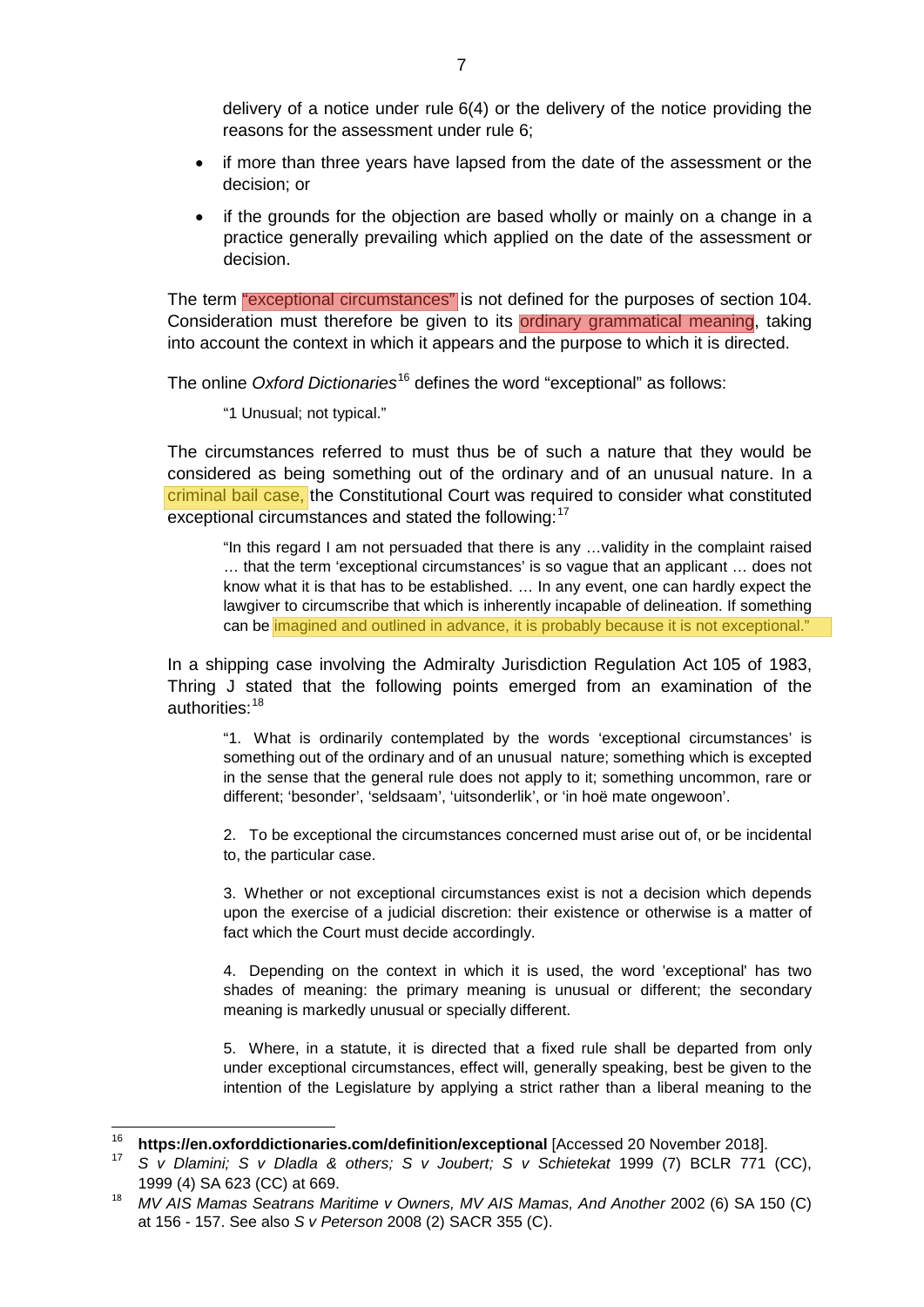delivery of a notice under rule 6(4) or the delivery of the notice providing the reasons for the assessment under rule 6;

- if more than three years have lapsed from the date of the assessment or the decision; or
- if the grounds for the objection are based wholly or mainly on a change in a practice generally prevailing which applied on the date of the assessment or decision.

The term "exceptional circumstances" is not defined for the purposes of section 104. Consideration must therefore be given to its ordinary grammatical meaning, taking into account the context in which it appears and the purpose to which it is directed.

The online *Oxford Dictionaries*[16](#page-6-0) defines the word "exceptional" as follows:

"1 Unusual; not typical."

The circumstances referred to must thus be of such a nature that they would be considered as being something out of the ordinary and of an unusual nature. In a criminal bail case, the Constitutional Court was required to consider what constituted exceptional circumstances and stated the following:<sup>[17](#page-6-1)</sup>

"In this regard I am not persuaded that there is any …validity in the complaint raised … that the term 'exceptional circumstances' is so vague that an applicant … does not know what it is that has to be established. … In any event, one can hardly expect the lawgiver to circumscribe that which is inherently incapable of delineation. If something can be imagined and outlined in advance, it is probably because it is not exceptional."

In a shipping case involving the Admiralty Jurisdiction Regulation Act 105 of 1983, Thring J stated that the following points emerged from an examination of the authorities:[18](#page-6-2)

"1. What is ordinarily contemplated by the words 'exceptional circumstances' is something out of the ordinary and of an unusual nature; something which is excepted in the sense that the general rule does not apply to it; something uncommon, rare or different; 'besonder', 'seldsaam', 'uitsonderlik', or 'in hoë mate ongewoon'.

2. To be exceptional the circumstances concerned must arise out of, or be incidental to, the particular case.

3. Whether or not exceptional circumstances exist is not a decision which depends upon the exercise of a judicial discretion: their existence or otherwise is a matter of fact which the Court must decide accordingly.

4. Depending on the context in which it is used, the word 'exceptional' has two shades of meaning: the primary meaning is unusual or different; the secondary meaning is markedly unusual or specially different.

5. Where, in a statute, it is directed that a fixed rule shall be departed from only under exceptional circumstances, effect will, generally speaking, best be given to the intention of the Legislature by applying a strict rather than a liberal meaning to the

<sup>16</sup> **<https://en.oxforddictionaries.com/definition/exceptional>** [Accessed 20 November 2018].

<span id="page-6-1"></span><span id="page-6-0"></span><sup>17</sup> *S v Dlamini; S v Dladla & others; S v Joubert; S v Schietekat* 1999 (7) BCLR 771 (CC), 1999 (4) SA 623 (CC) at 669.

<span id="page-6-2"></span><sup>18</sup> *MV AIS Mamas Seatrans Maritime v Owners, MV AIS Mamas, And Another* 2002 (6) SA 150 (C) at 156 - 157. See also *S v Peterson* 2008 (2) SACR 355 (C).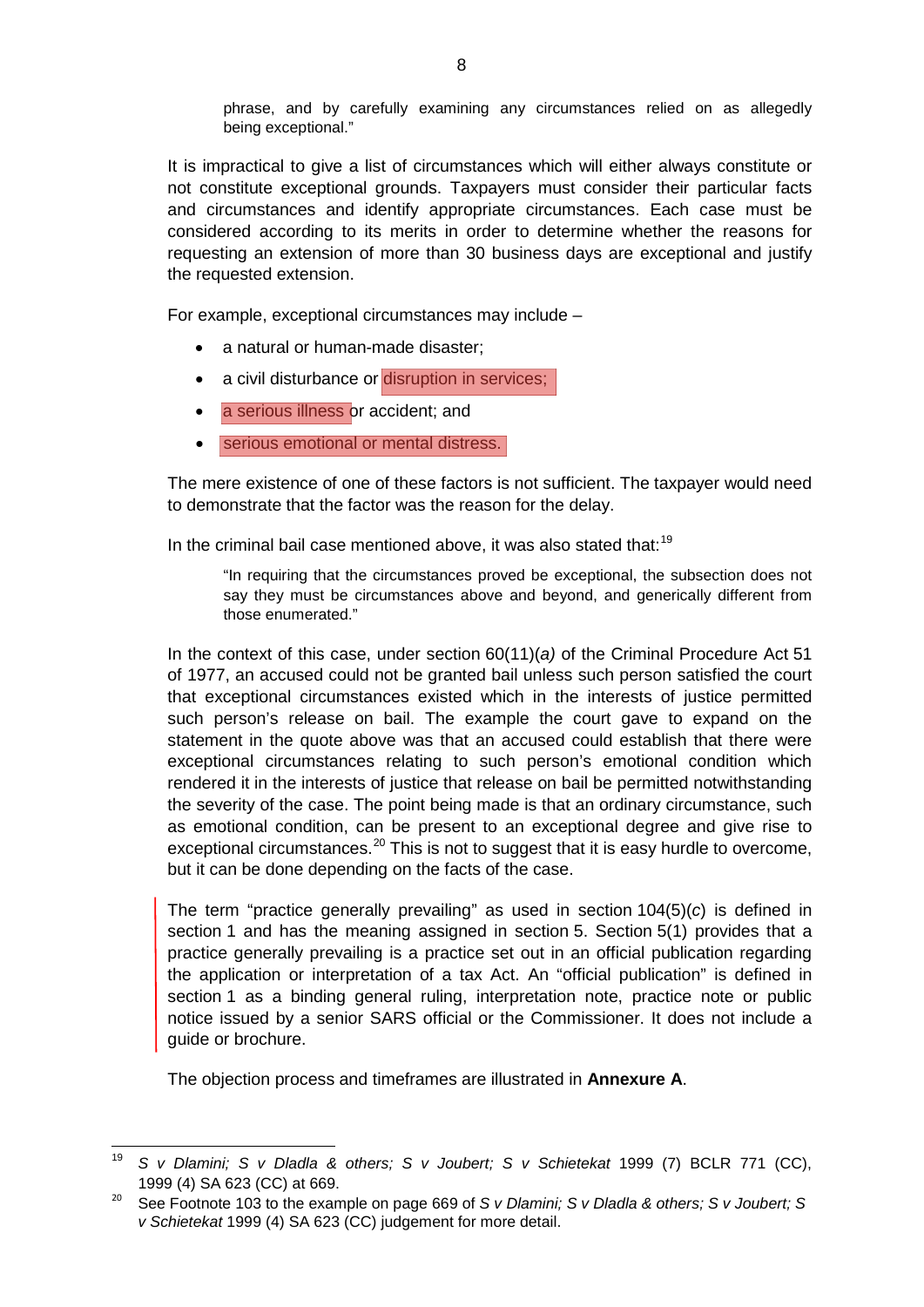phrase, and by carefully examining any circumstances relied on as allegedly being exceptional."

It is impractical to give a list of circumstances which will either always constitute or not constitute exceptional grounds. Taxpayers must consider their particular facts and circumstances and identify appropriate circumstances. Each case must be considered according to its merits in order to determine whether the reasons for requesting an extension of more than 30 business days are exceptional and justify the requested extension.

For example, exceptional circumstances may include –

- a natural or human-made disaster:
- a civil disturbance or disruption in services;
- a serious illness or accident; and
- serious emotional or mental distress.

The mere existence of one of these factors is not sufficient. The taxpayer would need to demonstrate that the factor was the reason for the delay.

In the criminal bail case mentioned above, it was also stated that:<sup>[19](#page-7-0)</sup>

"In requiring that the circumstances proved be exceptional, the subsection does not say they must be circumstances above and beyond, and generically different from those enumerated."

In the context of this case, under section 60(11)(*a)* of the Criminal Procedure Act 51 of 1977, an accused could not be granted bail unless such person satisfied the court that exceptional circumstances existed which in the interests of justice permitted such person's release on bail. The example the court gave to expand on the statement in the quote above was that an accused could establish that there were exceptional circumstances relating to such person's emotional condition which rendered it in the interests of justice that release on bail be permitted notwithstanding the severity of the case. The point being made is that an ordinary circumstance, such as emotional condition, can be present to an exceptional degree and give rise to exceptional circumstances.<sup>[20](#page-7-1)</sup> This is not to suggest that it is easy hurdle to overcome, but it can be done depending on the facts of the case.

The term "practice generally prevailing" as used in section 104(5)(*c*) is defined in section 1 and has the meaning assigned in section 5. Section 5(1) provides that a practice generally prevailing is a practice set out in an official publication regarding the application or interpretation of a tax Act. An "official publication" is defined in section 1 as a binding general ruling, interpretation note, practice note or public notice issued by a senior SARS official or the Commissioner. It does not include a guide or brochure.

The objection process and timeframes are illustrated in **[Annexure A](#page-12-0)**.

<span id="page-7-0"></span><sup>19</sup> *<sup>S</sup> v Dlamini; S v Dladla & others; S v Joubert; S v Schietekat* 1999 (7) BCLR 771 (CC), 1999 (4) SA 623 (CC) at 669.

<span id="page-7-1"></span><sup>20</sup> See Footnote 103 to the example on page 669 of *S v Dlamini; S v Dladla & others; S v Joubert; S v Schietekat* 1999 (4) SA 623 (CC) judgement for more detail.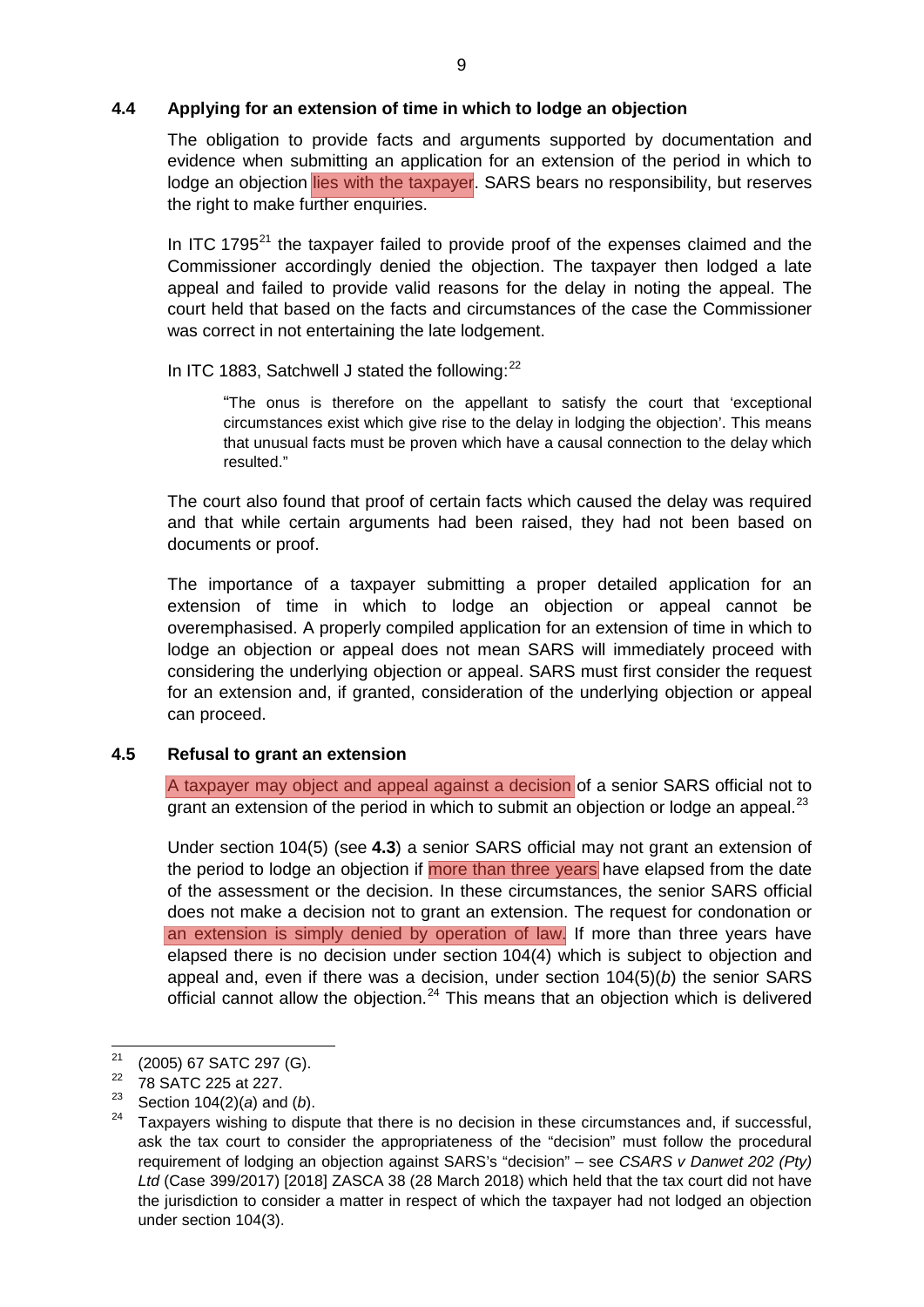## <span id="page-8-0"></span>**4.4 Applying for an extension of time in which to lodge an objection**

The obligation to provide facts and arguments supported by documentation and evidence when submitting an application for an extension of the period in which to lodge an objection lies with the taxpayer. SARS bears no responsibility, but reserves the right to make further enquiries.

In ITC 1795 $^{21}$  $^{21}$  $^{21}$  the taxpayer failed to provide proof of the expenses claimed and the Commissioner accordingly denied the objection. The taxpayer then lodged a late appeal and failed to provide valid reasons for the delay in noting the appeal. The court held that based on the facts and circumstances of the case the Commissioner was correct in not entertaining the late lodgement.

## In ITC 1883, Satchwell J stated the following: $^{22}$  $^{22}$  $^{22}$

"The onus is therefore on the appellant to satisfy the court that 'exceptional circumstances exist which give rise to the delay in lodging the objection'. This means that unusual facts must be proven which have a causal connection to the delay which resulted."

The court also found that proof of certain facts which caused the delay was required and that while certain arguments had been raised, they had not been based on documents or proof.

The importance of a taxpayer submitting a proper detailed application for an extension of time in which to lodge an objection or appeal cannot be overemphasised. A properly compiled application for an extension of time in which to lodge an objection or appeal does not mean SARS will immediately proceed with considering the underlying objection or appeal. SARS must first consider the request for an extension and, if granted, consideration of the underlying objection or appeal can proceed.

## <span id="page-8-1"></span>**4.5 Refusal to grant an extension**

A taxpayer may object and appeal against a decision of a senior SARS official not to grant an extension of the period in which to submit an objection or lodge an appeal.<sup>[23](#page-8-4)</sup>

Under section 104(5) (see **[4.3](#page-5-2)**) a senior SARS official may not grant an extension of the period to lodge an objection if more than three years have elapsed from the date of the assessment or the decision. In these circumstances, the senior SARS official does not make a decision not to grant an extension. The request for condonation or an extension is simply denied by operation of law. If more than three years have elapsed there is no decision under section 104(4) which is subject to objection and appeal and, even if there was a decision, under section 104(5)(*b*) the senior SARS official cannot allow the objection.<sup>[24](#page-8-5)</sup> This means that an objection which is delivered

<span id="page-8-2"></span><sup>&</sup>lt;sup>21</sup> (2005) 67 SATC 297 (G).<br><sup>22</sup> 78 SATC 225 et 227

<span id="page-8-3"></span> $^{22}$  78 SATC 225 at 227.

<sup>23</sup> Section 104(2)(*a*) and (*b*).

<span id="page-8-5"></span><span id="page-8-4"></span><sup>24</sup> Taxpayers wishing to dispute that there is no decision in these circumstances and, if successful, ask the tax court to consider the appropriateness of the "decision" must follow the procedural requirement of lodging an objection against SARS's "decision" – see *CSARS v Danwet 202 (Pty) Ltd* (Case 399/2017) [2018] ZASCA 38 (28 March 2018) which held that the tax court did not have the jurisdiction to consider a matter in respect of which the taxpayer had not lodged an objection under section 104(3).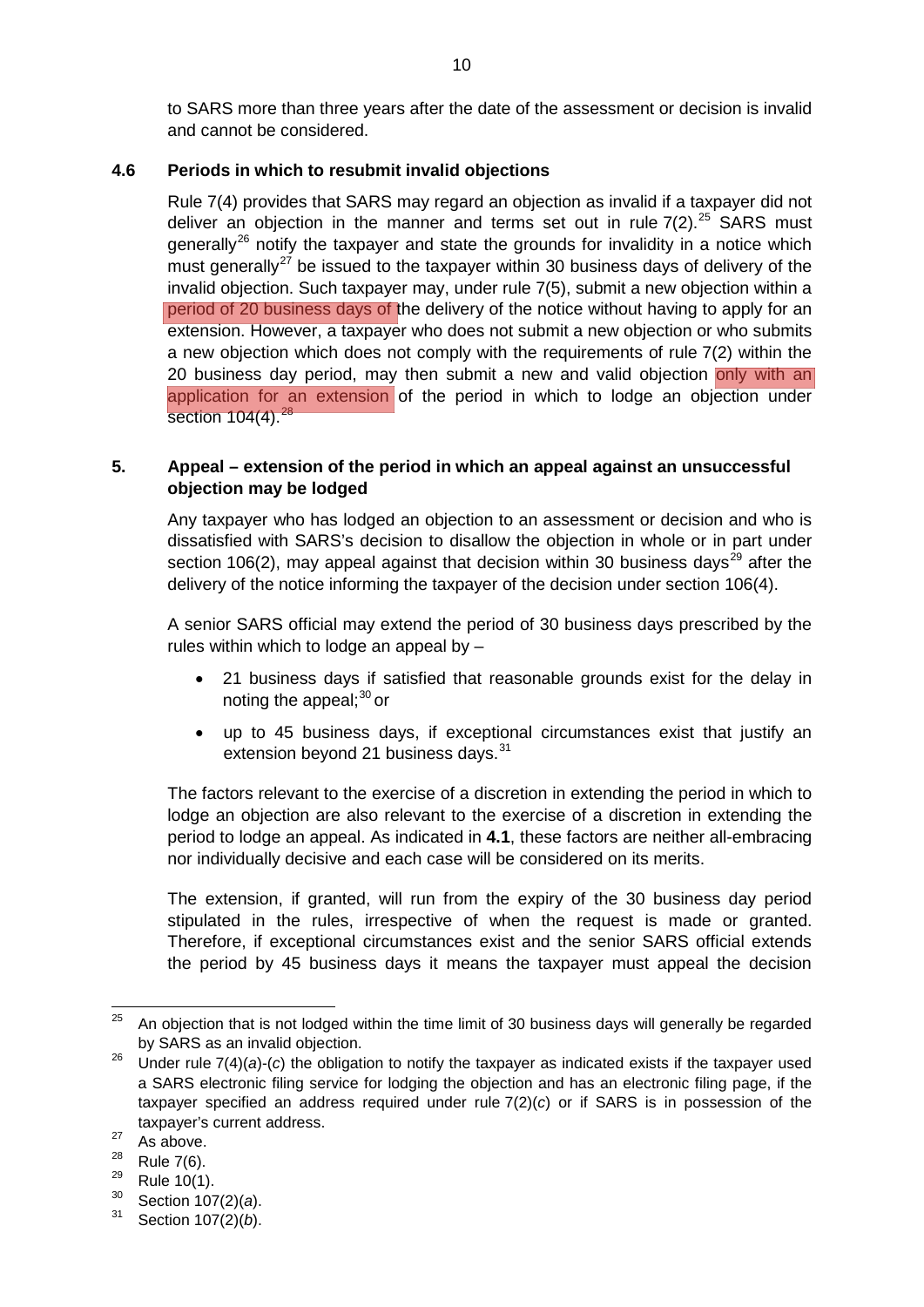to SARS more than three years after the date of the assessment or decision is invalid and cannot be considered.

#### <span id="page-9-0"></span>**4.6 Periods in which to resubmit invalid objections**

Rule 7(4) provides that SARS may regard an objection as invalid if a taxpayer did not deliver an objection in the manner and terms set out in rule  $7(2).^{25}$  $7(2).^{25}$  $7(2).^{25}$  SARS must generally<sup>[26](#page-9-3)</sup> notify the taxpayer and state the grounds for invalidity in a notice which must generally<sup>[27](#page-9-4)</sup> be issued to the taxpayer within 30 business days of delivery of the invalid objection. Such taxpayer may, under rule 7(5), submit a new objection within a period of 20 business days of the delivery of the notice without having to apply for an extension. However, a taxpayer who does not submit a new objection or who submits a new objection which does not comply with the requirements of rule 7(2) within the 20 business day period, may then submit a new and valid objection only with an application for an extension of the period in which to lodge an objection under section 104(4).<sup>[28](#page-9-5)</sup>

## <span id="page-9-1"></span>**5. Appeal – extension of the period in which an appeal against an unsuccessful objection may be lodged**

Any taxpayer who has lodged an objection to an assessment or decision and who is dissatisfied with SARS's decision to disallow the objection in whole or in part under section 106(2), may appeal against that decision within 30 business days<sup>[29](#page-9-6)</sup> after the delivery of the notice informing the taxpayer of the decision under section 106(4).

A senior SARS official may extend the period of 30 business days prescribed by the rules within which to lodge an appeal by –

- 21 business days if satisfied that reasonable grounds exist for the delay in noting the appeal: $30$  or
- up to 45 business days, if exceptional circumstances exist that justify an extension beyond 21 business days.<sup>[31](#page-9-8)</sup>

The factors relevant to the exercise of a discretion in extending the period in which to lodge an objection are also relevant to the exercise of a discretion in extending the period to lodge an appeal. As indicated in **[4.1](#page-2-2)**, these factors are neither all-embracing nor individually decisive and each case will be considered on its merits.

The extension, if granted, will run from the expiry of the 30 business day period stipulated in the rules, irrespective of when the request is made or granted. Therefore, if exceptional circumstances exist and the senior SARS official extends the period by 45 business days it means the taxpayer must appeal the decision

<span id="page-9-2"></span> $25$  An objection that is not lodged within the time limit of 30 business days will generally be regarded by SARS as an invalid objection.

<span id="page-9-3"></span><sup>&</sup>lt;sup>26</sup> Under rule 7(4)(*a*)-(*c*) the obligation to notify the taxpayer as indicated exists if the taxpayer used a SARS electronic filing service for lodging the objection and has an electronic filing page, if the taxpayer specified an address required under rule 7(2)(*c*) or if SARS is in possession of the taxpayer's current address.

<span id="page-9-4"></span> $\frac{27}{28}$  As above.

<span id="page-9-5"></span> $\frac{28}{29}$  Rule 7(6).

<span id="page-9-6"></span> $\frac{29}{30}$  Rule 10(1).

<span id="page-9-8"></span><span id="page-9-7"></span><sup>&</sup>lt;sup>30</sup> Section 107(2)(*a*).<br><sup>31</sup> Section 107(2)(*b*)

Section 107(2)(*b*).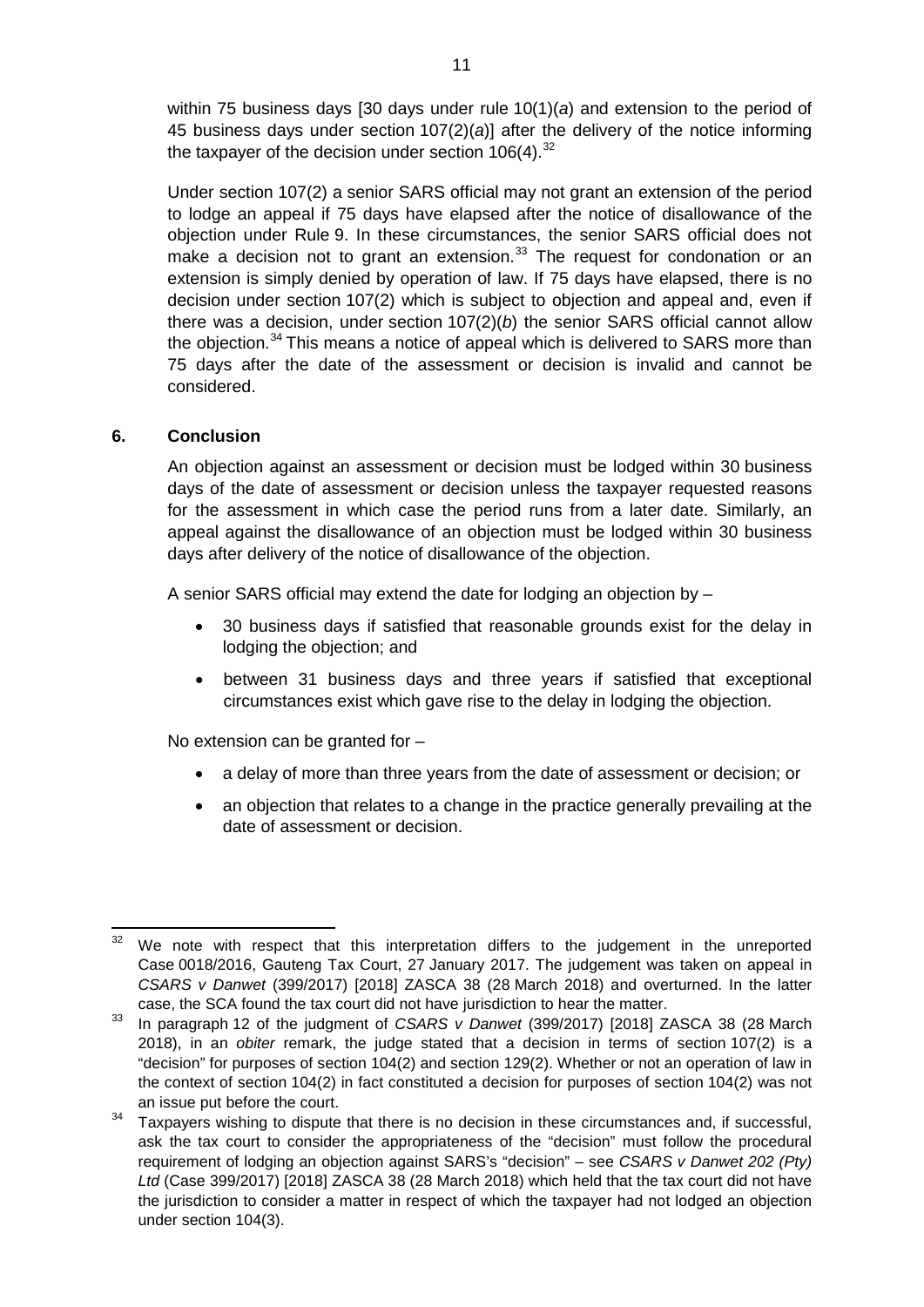within 75 business days [30 days under rule 10(1)(*a*) and extension to the period of 45 business days under section 107(2)(*a*)] after the delivery of the notice informing the taxpayer of the decision under section  $106(4).^{32}$  $106(4).^{32}$  $106(4).^{32}$ 

Under section 107(2) a senior SARS official may not grant an extension of the period to lodge an appeal if 75 days have elapsed after the notice of disallowance of the objection under Rule 9. In these circumstances, the senior SARS official does not make a decision not to grant an extension.<sup>[33](#page-10-2)</sup> The request for condonation or an extension is simply denied by operation of law. If 75 days have elapsed, there is no decision under section 107(2) which is subject to objection and appeal and, even if there was a decision, under section 107(2)(*b*) the senior SARS official cannot allow the objection.<sup>[34](#page-10-3)</sup> This means a notice of appeal which is delivered to SARS more than 75 days after the date of the assessment or decision is invalid and cannot be considered.

## <span id="page-10-0"></span>**6. Conclusion**

An objection against an assessment or decision must be lodged within 30 business days of the date of assessment or decision unless the taxpayer requested reasons for the assessment in which case the period runs from a later date. Similarly, an appeal against the disallowance of an objection must be lodged within 30 business days after delivery of the notice of disallowance of the objection.

A senior SARS official may extend the date for lodging an objection by –

- 30 business days if satisfied that reasonable grounds exist for the delay in lodging the objection; and
- between 31 business days and three years if satisfied that exceptional circumstances exist which gave rise to the delay in lodging the objection.

No extension can be granted for –

- a delay of more than three years from the date of assessment or decision; or
- an objection that relates to a change in the practice generally prevailing at the date of assessment or decision.

<span id="page-10-1"></span> $32$  We note with respect that this interpretation differs to the judgement in the unreported Case 0018/2016, Gauteng Tax Court, 27 January 2017. The judgement was taken on appeal in *CSARS v Danwet* (399/2017) [2018] ZASCA 38 (28 March 2018) and overturned. In the latter case, the SCA found the tax court did not have jurisdiction to hear the matter.

<span id="page-10-2"></span><sup>33</sup> In paragraph 12 of the judgment of *CSARS v Danwet* (399/2017) [2018] ZASCA 38 (28 March 2018), in an *obiter* remark, the judge stated that a decision in terms of section 107(2) is a "decision" for purposes of section 104(2) and section 129(2). Whether or not an operation of law in the context of section 104(2) in fact constituted a decision for purposes of section 104(2) was not an issue put before the court.

<span id="page-10-3"></span><sup>&</sup>lt;sup>34</sup> Taxpayers wishing to dispute that there is no decision in these circumstances and, if successful, ask the tax court to consider the appropriateness of the "decision" must follow the procedural requirement of lodging an objection against SARS's "decision" – see *CSARS v Danwet 202 (Pty) Ltd* (Case 399/2017) [2018] ZASCA 38 (28 March 2018) which held that the tax court did not have the jurisdiction to consider a matter in respect of which the taxpayer had not lodged an objection under section 104(3).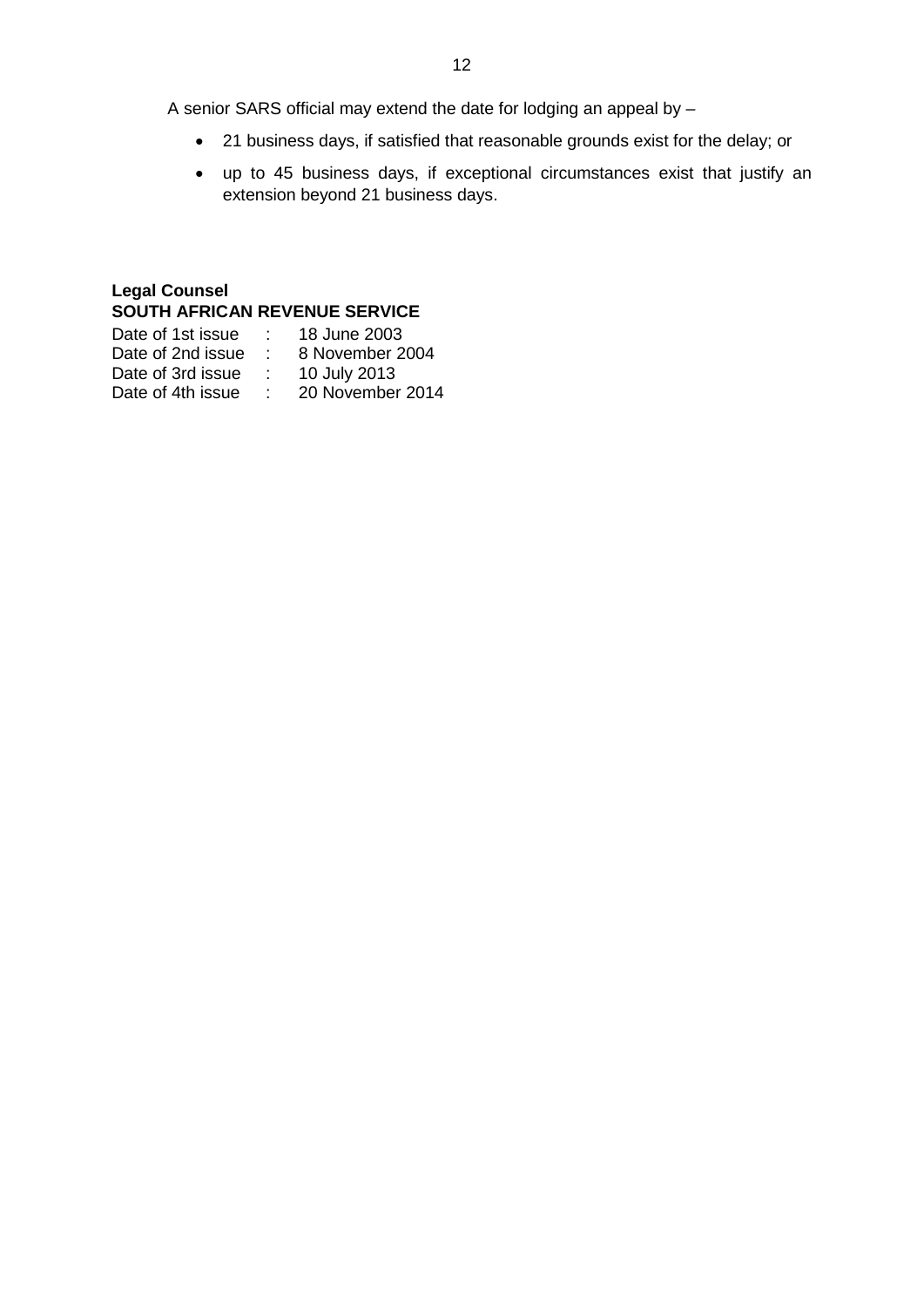A senior SARS official may extend the date for lodging an appeal by –

- 21 business days, if satisfied that reasonable grounds exist for the delay; or
- up to 45 business days, if exceptional circumstances exist that justify an extension beyond 21 business days.

#### **Legal Counsel SOUTH AFRICAN REVENUE SERVICE**<br>Date of 1st issue 19 10 line 2002 سد<br>سبز 18 June 2003

| 18 June 2003     |
|------------------|
| 8 November 2004  |
| 10 July 2013     |
| 20 November 2014 |
|                  |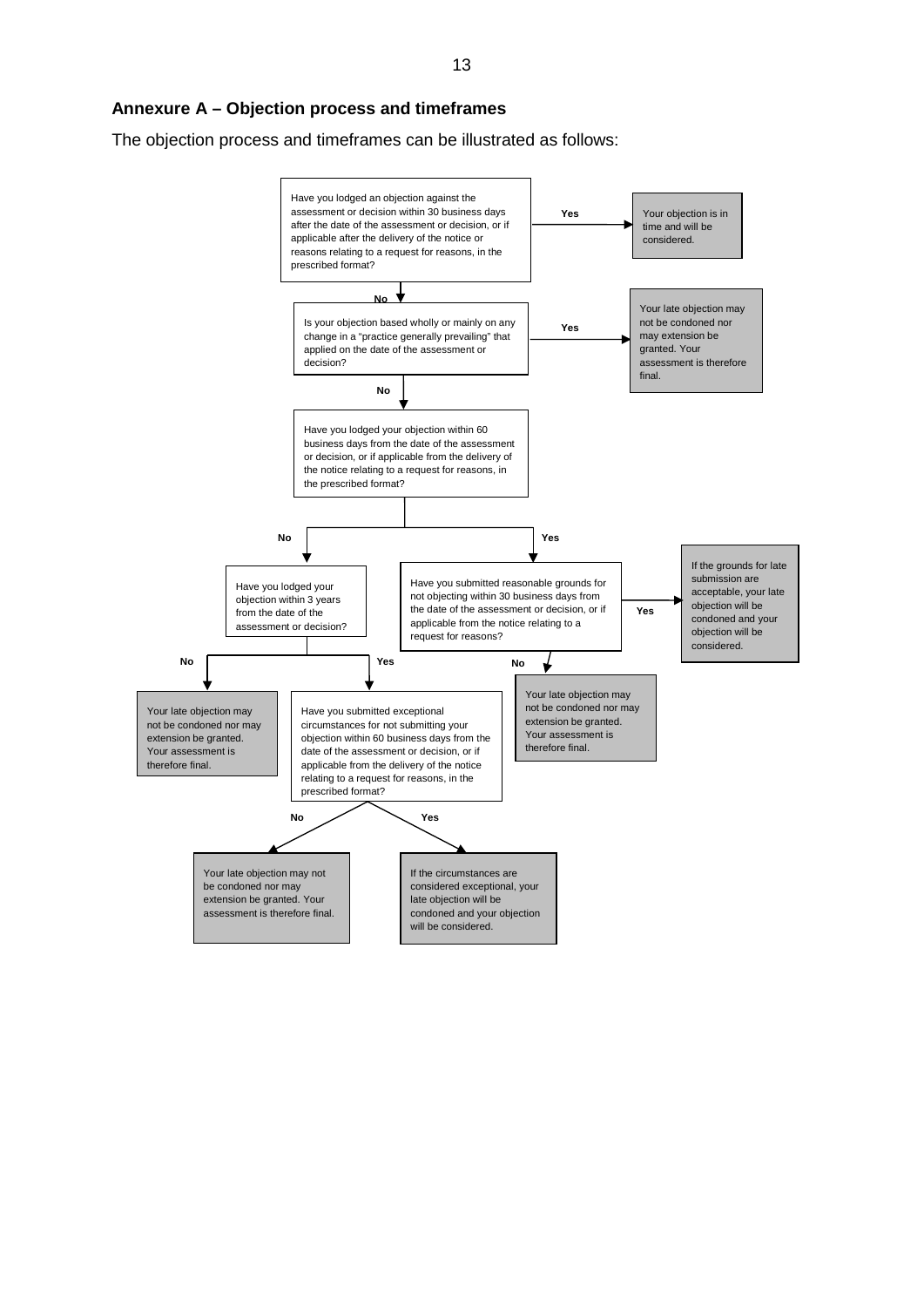<span id="page-12-0"></span>The objection process and timeframes can be illustrated as follows:

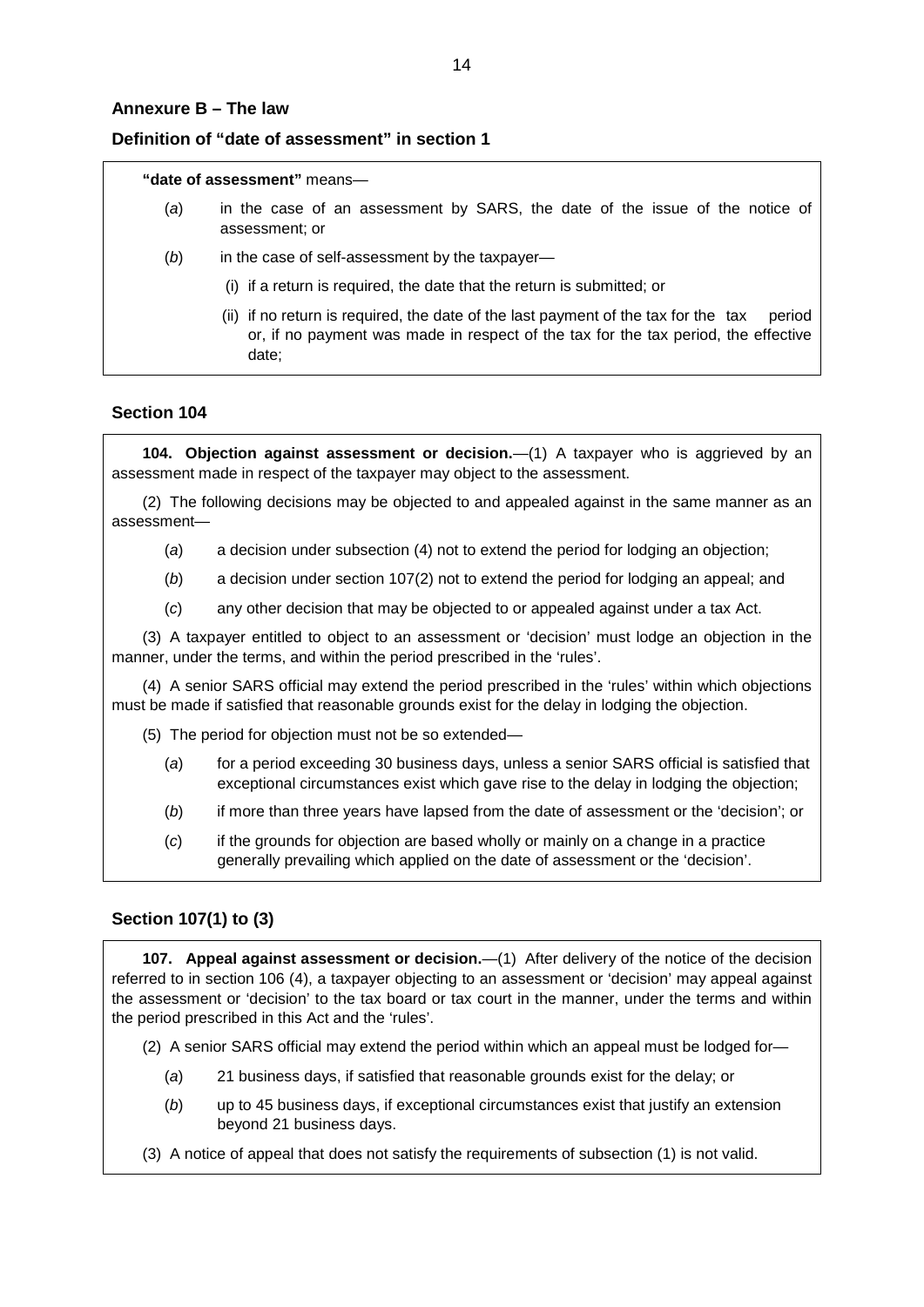#### <span id="page-13-0"></span>**Annexure B – The law**

#### **Definition of "date of assessment" in section 1**

#### **"date of assessment"** means—

- (*a*) in the case of an assessment by SARS, the date of the issue of the notice of assessment; or
- (b) in the case of self-assessment by the taxpayer-
	- (i) if a return is required, the date that the return is submitted; or
	- (ii) if no return is required, the date of the last payment of the tax for the tax period or, if no payment was made in respect of the tax for the tax period, the effective date;

#### **Section 104**

**104. Objection against assessment or decision.**—(1) A taxpayer who is aggrieved by an assessment made in respect of the taxpayer may object to the assessment.

(2) The following decisions may be objected to and appealed against in the same manner as an assessment—

- (*a*) a decision under subsection (4) not to extend the period for lodging an objection;
- (*b*) a decision under section 107(2) not to extend the period for lodging an appeal; and
- (*c*) any other decision that may be objected to or appealed against under a tax Act.

(3) A taxpayer entitled to object to an assessment or 'decision' must lodge an objection in the manner, under the terms, and within the period prescribed in the 'rules'.

(4) A senior SARS official may extend the period prescribed in the 'rules' within which objections must be made if satisfied that reasonable grounds exist for the delay in lodging the objection.

- (5) The period for objection must not be so extended—
	- (*a*) for a period exceeding 30 business days, unless a senior SARS official is satisfied that exceptional circumstances exist which gave rise to the delay in lodging the objection;
	- (*b*) if more than three years have lapsed from the date of assessment or the 'decision'; or
	- (*c*) if the grounds for objection are based wholly or mainly on a change in a practice generally prevailing which applied on the date of assessment or the 'decision'.

#### **Section 107(1) to (3)**

**107. Appeal against assessment or decision.**—(1) After delivery of the notice of the decision referred to in section 106 (4), a taxpayer objecting to an assessment or 'decision' may appeal against the assessment or 'decision' to the tax board or tax court in the manner, under the terms and within the period prescribed in this Act and the 'rules'.

- (2) A senior SARS official may extend the period within which an appeal must be lodged for—
	- (*a*) 21 business days, if satisfied that reasonable grounds exist for the delay; or
	- (*b*) up to 45 business days, if exceptional circumstances exist that justify an extension beyond 21 business days.
- (3) A notice of appeal that does not satisfy the requirements of subsection (1) is not valid.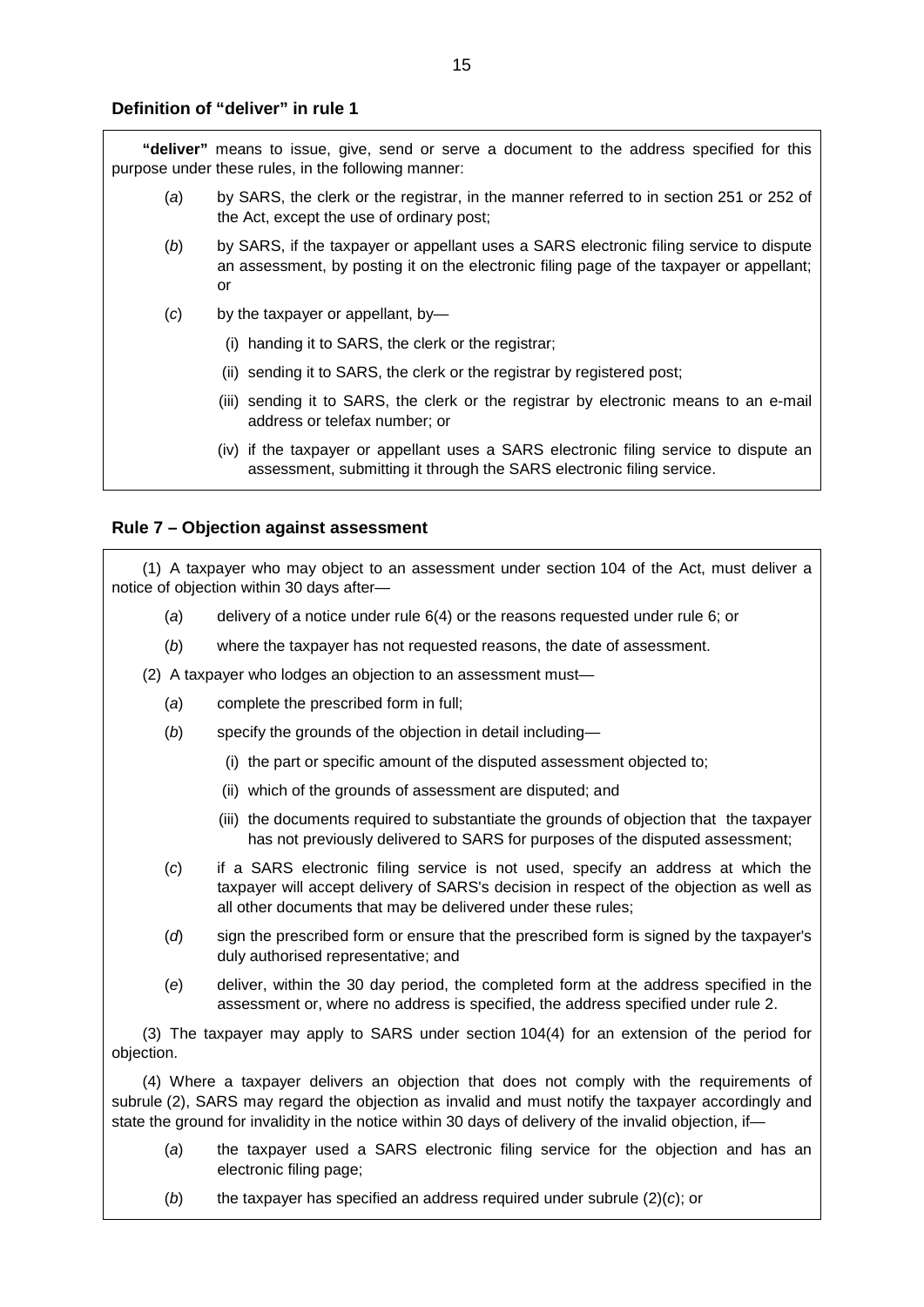#### **Definition of "deliver" in rule 1**

**"deliver"** means to issue, give, send or serve a document to the address specified for this purpose under these rules, in the following manner:

- (*a*) by SARS, the clerk or the registrar, in the manner referred to in section 251 or 252 of the Act, except the use of ordinary post;
- (*b*) by SARS, if the taxpayer or appellant uses a SARS electronic filing service to dispute an assessment, by posting it on the electronic filing page of the taxpayer or appellant; or
- (*c*) by the taxpayer or appellant, by—
	- (i) handing it to SARS, the clerk or the registrar;
	- (ii) sending it to SARS, the clerk or the registrar by registered post;
	- (iii) sending it to SARS, the clerk or the registrar by electronic means to an e-mail address or telefax number; or
	- (iv) if the taxpayer or appellant uses a SARS electronic filing service to dispute an assessment, submitting it through the SARS electronic filing service.

#### **Rule 7 – Objection against assessment**

(1) A taxpayer who may object to an assessment under section 104 of the Act, must deliver a notice of objection within 30 days after—

- (*a*) delivery of a notice under rule 6(4) or the reasons requested under rule 6; or
- (*b*) where the taxpayer has not requested reasons, the date of assessment.
- (2) A taxpayer who lodges an objection to an assessment must—
	- (*a*) complete the prescribed form in full;
	- (*b*) specify the grounds of the objection in detail including—
		- (i) the part or specific amount of the disputed assessment objected to;
		- (ii) which of the grounds of assessment are disputed; and
		- (iii) the documents required to substantiate the grounds of objection that the taxpayer has not previously delivered to SARS for purposes of the disputed assessment;
	- (*c*) if a SARS electronic filing service is not used, specify an address at which the taxpayer will accept delivery of SARS's decision in respect of the objection as well as all other documents that may be delivered under these rules;
	- (*d*) sign the prescribed form or ensure that the prescribed form is signed by the taxpayer's duly authorised representative; and
	- (*e*) deliver, within the 30 day period, the completed form at the address specified in the assessment or, where no address is specified, the address specified under rule 2.

(3) The taxpayer may apply to SARS under section 104(4) for an extension of the period for objection.

(4) Where a taxpayer delivers an objection that does not comply with the requirements of subrule (2), SARS may regard the objection as invalid and must notify the taxpayer accordingly and state the ground for invalidity in the notice within 30 days of delivery of the invalid objection, if—

- (*a*) the taxpayer used a SARS electronic filing service for the objection and has an electronic filing page;
- (*b*) the taxpayer has specified an address required under subrule (2)(*c*); or